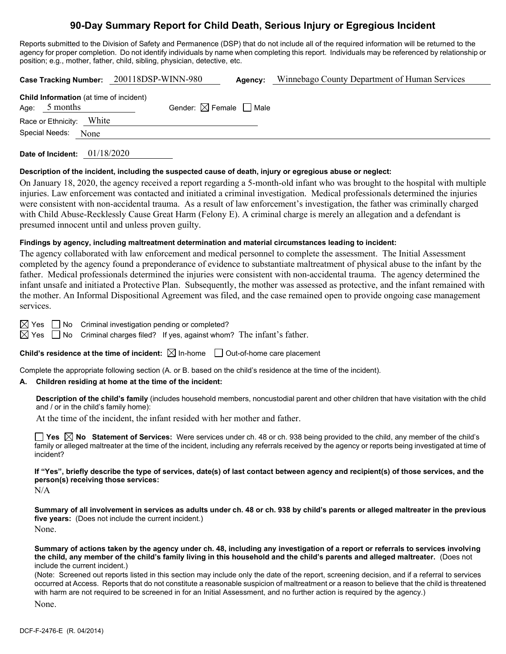# **90-Day Summary Report for Child Death, Serious Injury or Egregious Incident**

Reports submitted to the Division of Safety and Permanence (DSP) that do not include all of the required information will be returned to the agency for proper completion. Do not identify individuals by name when completing this report. Individuals may be referenced by relationship or position; e.g., mother, father, child, sibling, physician, detective, etc.

|                                                                   | Case Tracking Number: 200118DSP-WINN-980 | Agency:                                | Winnebago County Department of Human Services |
|-------------------------------------------------------------------|------------------------------------------|----------------------------------------|-----------------------------------------------|
| <b>Child Information</b> (at time of incident)<br>Age: $5$ months |                                          | Gender: $\boxtimes$ Female $\Box$ Male |                                               |
| Race or Ethnicity: White                                          |                                          |                                        |                                               |
| Special Needs:<br>None                                            |                                          |                                        |                                               |
|                                                                   |                                          |                                        |                                               |

**Date of Incident:** 01/18/2020

### **Description of the incident, including the suspected cause of death, injury or egregious abuse or neglect:**

On January 18, 2020, the agency received a report regarding a 5-month-old infant who was brought to the hospital with multiple injuries. Law enforcement was contacted and initiated a criminal investigation. Medical professionals determined the injuries were consistent with non-accidental trauma. As a result of law enforcement's investigation, the father was criminally charged with Child Abuse-Recklessly Cause Great Harm (Felony E). A criminal charge is merely an allegation and a defendant is presumed innocent until and unless proven guilty.

### **Findings by agency, including maltreatment determination and material circumstances leading to incident:**

The agency collaborated with law enforcement and medical personnel to complete the assessment. The Initial Assessment completed by the agency found a preponderance of evidence to substantiate maltreatment of physical abuse to the infant by the father. Medical professionals determined the injuries were consistent with non-accidental trauma. The agency determined the infant unsafe and initiated a Protective Plan. Subsequently, the mother was assessed as protective, and the infant remained with the mother. An Informal Dispositional Agreement was filed, and the case remained open to provide ongoing case management services.

 $\boxtimes$  Yes  $\Box$  No Criminal investigation pending or completed?

 $\boxtimes$  Yes  $\Box$  No Criminal charges filed? If yes, against whom? The infant's father.

### **Child's residence at the time of incident:**  $\boxtimes$  In-home  $\Box$  Out-of-home care placement

Complete the appropriate following section (A. or B. based on the child's residence at the time of the incident).

### **A. Children residing at home at the time of the incident:**

**Description of the child's family** (includes household members, noncustodial parent and other children that have visitation with the child and / or in the child's family home):

At the time of the incident, the infant resided with her mother and father.

**Yes No Statement of Services:** Were services under ch. 48 or ch. 938 being provided to the child, any member of the child's family or alleged maltreater at the time of the incident, including any referrals received by the agency or reports being investigated at time of incident?

**If "Yes", briefly describe the type of services, date(s) of last contact between agency and recipient(s) of those services, and the person(s) receiving those services:**

N/A

**Summary of all involvement in services as adults under ch. 48 or ch. 938 by child's parents or alleged maltreater in the previous five years:** (Does not include the current incident.) None.

**Summary of actions taken by the agency under ch. 48, including any investigation of a report or referrals to services involving the child, any member of the child's family living in this household and the child's parents and alleged maltreater.** (Does not include the current incident.)

(Note: Screened out reports listed in this section may include only the date of the report, screening decision, and if a referral to services occurred at Access. Reports that do not constitute a reasonable suspicion of maltreatment or a reason to believe that the child is threatened with harm are not required to be screened in for an Initial Assessment, and no further action is required by the agency.)

None.